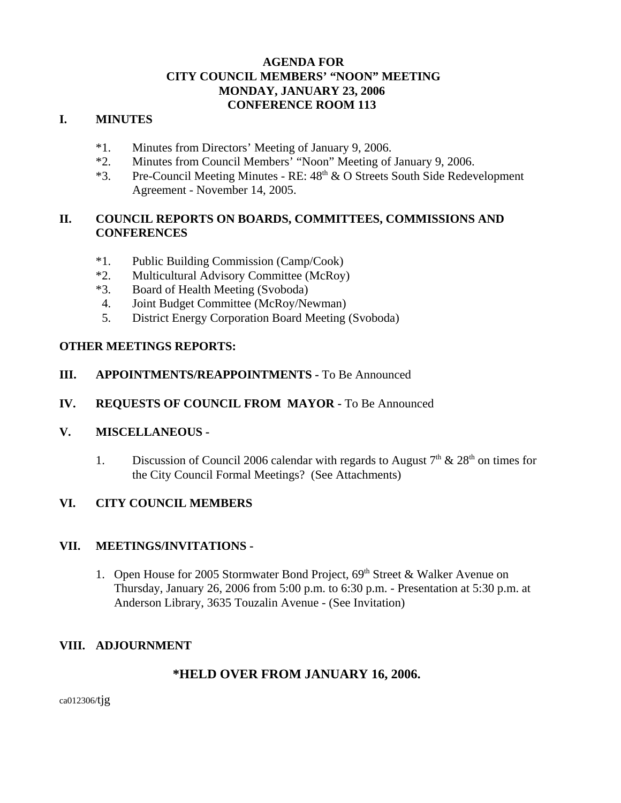# **AGENDA FOR CITY COUNCIL MEMBERS' "NOON" MEETING MONDAY, JANUARY 23, 2006 CONFERENCE ROOM 113**

## **I. MINUTES**

- \*1. Minutes from Directors' Meeting of January 9, 2006.
- \*2. Minutes from Council Members' "Noon" Meeting of January 9, 2006.
- \*3. Pre-Council Meeting Minutes RE:  $48<sup>th</sup>$  & O Streets South Side Redevelopment Agreement - November 14, 2005.

# **II. COUNCIL REPORTS ON BOARDS, COMMITTEES, COMMISSIONS AND CONFERENCES**

- \*1. Public Building Commission (Camp/Cook)
- \*2. Multicultural Advisory Committee (McRoy)
- \*3. Board of Health Meeting (Svoboda)
- 4. Joint Budget Committee (McRoy/Newman)
- 5. District Energy Corporation Board Meeting (Svoboda)

## **OTHER MEETINGS REPORTS:**

- **III.** APPOINTMENTS/REAPPOINTMENTS To Be Announced
- **IV. REQUESTS OF COUNCIL FROM MAYOR -** To Be Announced

## **V. MISCELLANEOUS -**

1. Discussion of Council 2006 calendar with regards to August  $7<sup>th</sup>$  &  $28<sup>th</sup>$  on times for the City Council Formal Meetings? (See Attachments)

# **VI. CITY COUNCIL MEMBERS**

## **VII. MEETINGS/INVITATIONS -**

1. Open House for 2005 Stormwater Bond Project,  $69<sup>th</sup>$  Street & Walker Avenue on Thursday, January 26, 2006 from 5:00 p.m. to 6:30 p.m. - Presentation at 5:30 p.m. at Anderson Library, 3635 Touzalin Avenue - (See Invitation)

# **VIII. ADJOURNMENT**

# **\*HELD OVER FROM JANUARY 16, 2006.**

ca012306/tjg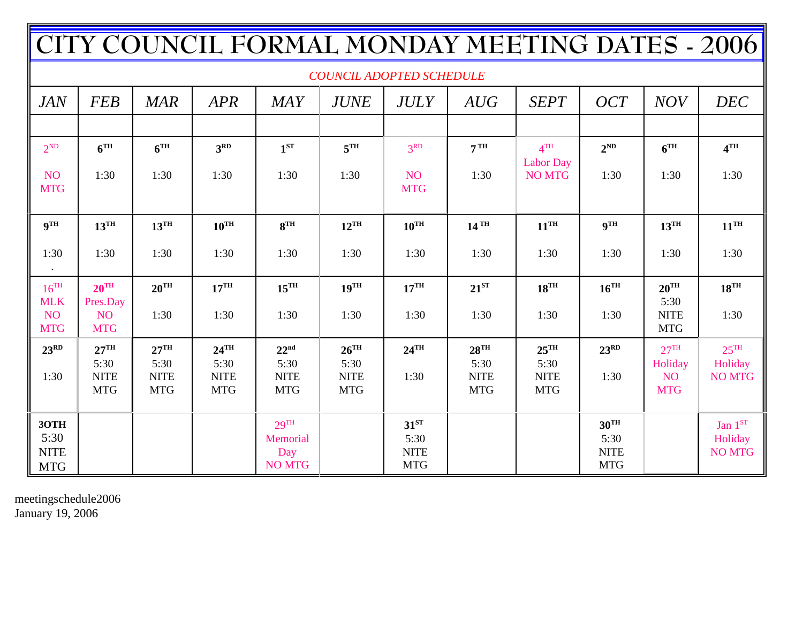| TY COUNCIL FORMAL MONDAY MEETING DATES - 2006 |                                           |                                   |                                   |                                   |                                   |                                   |                                   |                                   |                                   |                                    |                          |
|-----------------------------------------------|-------------------------------------------|-----------------------------------|-----------------------------------|-----------------------------------|-----------------------------------|-----------------------------------|-----------------------------------|-----------------------------------|-----------------------------------|------------------------------------|--------------------------|
| <b>COUNCIL ADOPTED SCHEDULE</b>               |                                           |                                   |                                   |                                   |                                   |                                   |                                   |                                   |                                   |                                    |                          |
| <b>JAN</b>                                    | <b>FEB</b>                                | <b>MAR</b>                        | <b>APR</b>                        | <b>MAY</b>                        | <b>JUNE</b>                       | <b>JULY</b>                       | AUG                               | <b>SEPT</b>                       | <b>OCT</b>                        | <b>NOV</b>                         | <b>DEC</b>               |
|                                               |                                           |                                   |                                   |                                   |                                   |                                   |                                   |                                   |                                   |                                    |                          |
| $2^{ND}$                                      | 6 <sup>TH</sup>                           | 6 <sup>TH</sup>                   | 3 <sup>RD</sup>                   | $1^{ST}$                          | 5 <sup>TH</sup>                   | 3 <sup>RD</sup>                   | 7 <sup>TH</sup>                   | 4 <sup>TH</sup>                   | $2^{ND}$                          | 6 <sup>TH</sup>                    | 4 <sup>TH</sup>          |
| NO <sub>1</sub><br><b>MTG</b>                 | 1:30                                      | 1:30                              | 1:30                              | 1:30                              | 1:30                              | <b>NO</b><br><b>MTG</b>           | 1:30                              | <b>Labor Day</b><br><b>NO MTG</b> | 1:30                              | 1:30                               | 1:30                     |
| $\mathbf{Q}^{\mathrm{TH}}$                    | $13^{\text{TH}}$                          | $13^{\text{TH}}$                  | $10^{\text{TH}}$                  | 8 <sup>TH</sup>                   | $12^{\text{TH}}$                  | $10^{TH}$                         | $14$ <sup>TH</sup>                | $11^{\text{TH}}$                  | 9 <sup>TH</sup>                   | $13^{\text{TH}}$                   | $11^{\text{TH}}$         |
| 1:30                                          | 1:30                                      | 1:30                              | 1:30                              | 1:30                              | 1:30                              | 1:30                              | 1:30                              | 1:30                              | 1:30                              | 1:30                               | 1:30                     |
| $16^{TH}$                                     | $20^{\text{TH}}$                          | $20^{\text{TH}}$                  | $17^{\text{TH}}$                  | $15^{\text{TH}}$                  | $19^{\text{TH}}$                  | $17^{\text{TH}}$                  | $21^{ST}$                         | $18^{\text{TH}}$                  | $16^{\text{TH}}$                  | $20^{\text{TH}}$                   | $18^{\text{TH}}$         |
| <b>MLK</b><br>NO <sub>1</sub><br><b>MTG</b>   | Pres.Day<br>NO <sub>1</sub><br><b>MTG</b> | 1:30                              | 1:30                              | 1:30                              | 1:30                              | 1:30                              | 1:30                              | 1:30                              | 1:30                              | 5:30<br><b>NITE</b><br><b>MTG</b>  | 1:30                     |
| $23^{RD}$                                     | $27^{\text{TH}}$                          | $27^{\text{TH}}$                  | $24$ <sup>TH</sup>                | 22 <sup>nd</sup>                  | $26^{\text{TH}}$                  | $24$ <sup>TH</sup>                | $28$ <sup>TH</sup>                | $25^{\text{TH}}$                  | $23^{RD}$                         | 27 <sup>TH</sup>                   | $25^{\text{TH}}$         |
| 1:30                                          | 5:30<br><b>NITE</b><br><b>MTG</b>         | 5:30<br><b>NITE</b><br><b>MTG</b> | 5:30<br><b>NITE</b><br><b>MTG</b> | 5:30<br><b>NITE</b><br><b>MTG</b> | 5:30<br><b>NITE</b><br><b>MTG</b> | 1:30                              | 5:30<br><b>NITE</b><br><b>MTG</b> | 5:30<br><b>NITE</b><br><b>MTG</b> | 1:30                              | Holiday<br><b>NO</b><br><b>MTG</b> | Holiday<br><b>NO MTG</b> |
| 3OTH                                          |                                           |                                   |                                   | $29$ <sup>TH</sup>                |                                   | 31 <sup>ST</sup>                  |                                   |                                   | $30^{\text{TH}}$                  |                                    | Jan $1^{\rm ST}$         |
| 5:30<br><b>NITE</b><br><b>MTG</b>             |                                           |                                   |                                   | Memorial<br>Day<br><b>NO MTG</b>  |                                   | 5:30<br><b>NITE</b><br><b>MTG</b> |                                   |                                   | 5:30<br><b>NITE</b><br><b>MTG</b> |                                    | Holiday<br><b>NO MTG</b> |

meetingschedule2006 January 19, 2006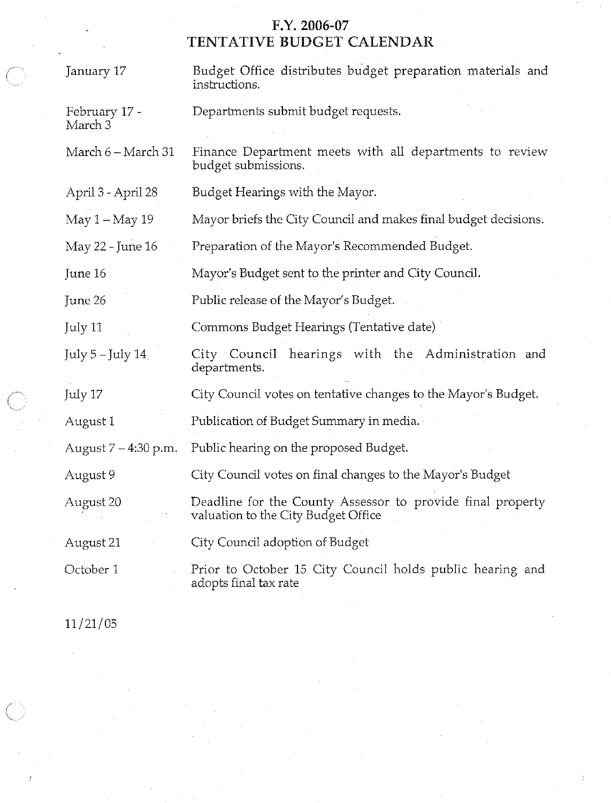# F.Y. 2006-07<br>TENTATIVE BUDGET CALENDAR

| January 17               | Budget Office distributes budget preparation materials and<br>instructions.                       |  |  |  |  |  |  |
|--------------------------|---------------------------------------------------------------------------------------------------|--|--|--|--|--|--|
| February 17 -<br>March 3 | Departments submit budget requests.                                                               |  |  |  |  |  |  |
| March 6 - March 31       | Finance Department meets with all departments to review<br>budget submissions.                    |  |  |  |  |  |  |
| April 3 - April 28       | Budget Hearings with the Mayor.                                                                   |  |  |  |  |  |  |
| May 1 - May 19           | Mayor briefs the City Council and makes final budget decisions.                                   |  |  |  |  |  |  |
| May 22 - June 16         | Preparation of the Mayor's Recommended Budget.                                                    |  |  |  |  |  |  |
| June 16                  | Mayor's Budget sent to the printer and City Council.                                              |  |  |  |  |  |  |
| June 26                  | Public release of the Mayor's Budget.                                                             |  |  |  |  |  |  |
| July 11                  | Commons Budget Hearings (Tentative date)                                                          |  |  |  |  |  |  |
| July 5-July 14           | City Council hearings with the Administration and<br>departments.                                 |  |  |  |  |  |  |
| July 17                  | City Council votes on tentative changes to the Mayor's Budget.                                    |  |  |  |  |  |  |
| August 1                 | Publication of Budget Summary in media.                                                           |  |  |  |  |  |  |
| August 7 – 4:30 p.m.     | Public hearing on the proposed Budget.                                                            |  |  |  |  |  |  |
| August 9                 | City Council votes on final changes to the Mayor's Budget                                         |  |  |  |  |  |  |
| August 20                | Deadline for the County Assessor to provide final property<br>valuation to the City Budget Office |  |  |  |  |  |  |
| August 21                | City Council adoption of Budget                                                                   |  |  |  |  |  |  |
| October 1                | Prior to October 15 City Council holds public hearing and<br>adopts final tax rate                |  |  |  |  |  |  |

 $11/21/05$ 

 $\left(\begin{array}{c} 1 \ 1 \end{array}\right)$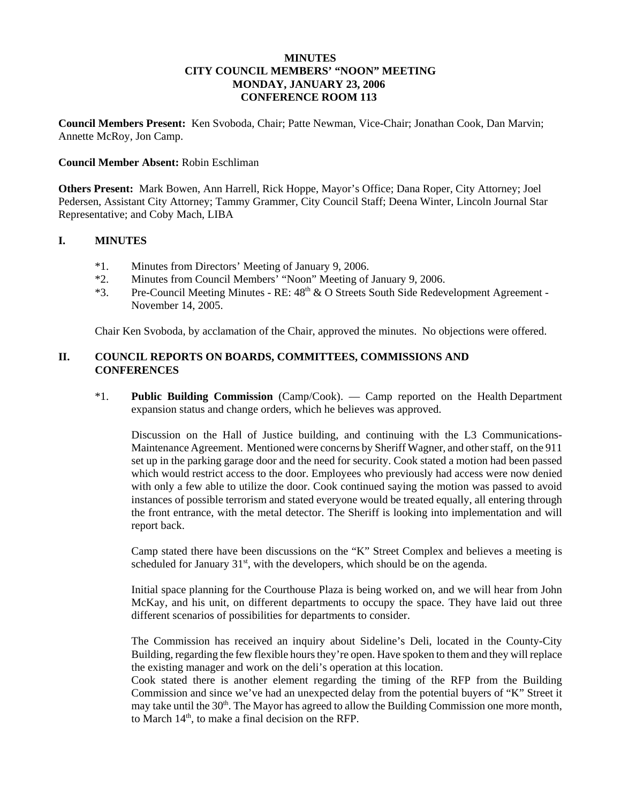### **MINUTES CITY COUNCIL MEMBERS' "NOON" MEETING MONDAY, JANUARY 23, 2006 CONFERENCE ROOM 113**

**Council Members Present:** Ken Svoboda, Chair; Patte Newman, Vice-Chair; Jonathan Cook, Dan Marvin; Annette McRoy, Jon Camp.

#### **Council Member Absent:** Robin Eschliman

**Others Present:** Mark Bowen, Ann Harrell, Rick Hoppe, Mayor's Office; Dana Roper, City Attorney; Joel Pedersen, Assistant City Attorney; Tammy Grammer, City Council Staff; Deena Winter, Lincoln Journal Star Representative; and Coby Mach, LIBA

#### **I. MINUTES**

- \*1. Minutes from Directors' Meeting of January 9, 2006.
- \*2. Minutes from Council Members' "Noon" Meeting of January 9, 2006.
- \*3. Pre-Council Meeting Minutes RE:  $48<sup>th</sup>$  & O Streets South Side Redevelopment Agreement -November 14, 2005.

Chair Ken Svoboda, by acclamation of the Chair, approved the minutes. No objections were offered.

## **II. COUNCIL REPORTS ON BOARDS, COMMITTEES, COMMISSIONS AND CONFERENCES**

\*1. **Public Building Commission** (Camp/Cook). — Camp reported on the Health Department expansion status and change orders, which he believes was approved.

Discussion on the Hall of Justice building, and continuing with the L3 Communications-Maintenance Agreement. Mentioned were concerns by Sheriff Wagner, and other staff, on the 911 set up in the parking garage door and the need for security. Cook stated a motion had been passed which would restrict access to the door. Employees who previously had access were now denied with only a few able to utilize the door. Cook continued saying the motion was passed to avoid instances of possible terrorism and stated everyone would be treated equally, all entering through the front entrance, with the metal detector. The Sheriff is looking into implementation and will report back.

Camp stated there have been discussions on the "K" Street Complex and believes a meeting is scheduled for January  $31<sup>st</sup>$ , with the developers, which should be on the agenda.

Initial space planning for the Courthouse Plaza is being worked on, and we will hear from John McKay, and his unit, on different departments to occupy the space. They have laid out three different scenarios of possibilities for departments to consider.

The Commission has received an inquiry about Sideline's Deli, located in the County-City Building, regarding the few flexible hours they're open. Have spoken to them and they will replace the existing manager and work on the deli's operation at this location.

Cook stated there is another element regarding the timing of the RFP from the Building Commission and since we've had an unexpected delay from the potential buyers of "K" Street it may take until the 30<sup>th</sup>. The Mayor has agreed to allow the Building Commission one more month, to March  $14<sup>th</sup>$ , to make a final decision on the RFP.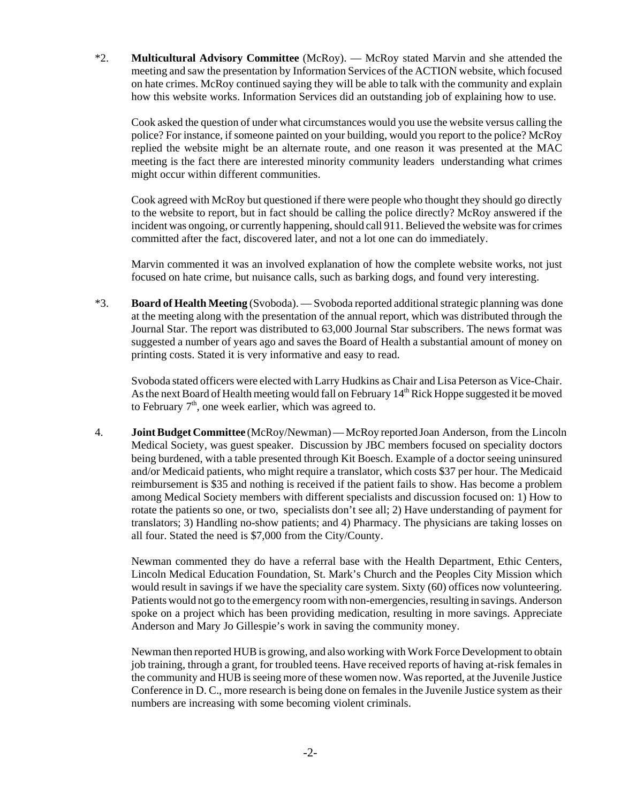\*2. **Multicultural Advisory Committee** (McRoy). — McRoy stated Marvin and she attended the meeting and saw the presentation by Information Services of the ACTION website, which focused on hate crimes. McRoy continued saying they will be able to talk with the community and explain how this website works. Information Services did an outstanding job of explaining how to use.

Cook asked the question of under what circumstances would you use the website versus calling the police? For instance, if someone painted on your building, would you report to the police? McRoy replied the website might be an alternate route, and one reason it was presented at the MAC meeting is the fact there are interested minority community leaders understanding what crimes might occur within different communities.

Cook agreed with McRoy but questioned if there were people who thought they should go directly to the website to report, but in fact should be calling the police directly? McRoy answered if the incident was ongoing, or currently happening, should call 911. Believed the website was for crimes committed after the fact, discovered later, and not a lot one can do immediately.

Marvin commented it was an involved explanation of how the complete website works, not just focused on hate crime, but nuisance calls, such as barking dogs, and found very interesting.

\*3. **Board of Health Meeting** (Svoboda). — Svoboda reported additional strategic planning was done at the meeting along with the presentation of the annual report, which was distributed through the Journal Star. The report was distributed to 63,000 Journal Star subscribers. The news format was suggested a number of years ago and saves the Board of Health a substantial amount of money on printing costs. Stated it is very informative and easy to read.

Svoboda stated officers were elected with Larry Hudkins as Chair and Lisa Peterson as Vice-Chair. As the next Board of Health meeting would fall on February  $14<sup>th</sup>$  Rick Hoppe suggested it be moved to February  $7<sup>th</sup>$ , one week earlier, which was agreed to.

 4. **Joint Budget Committee** (McRoy/Newman) — McRoy reported Joan Anderson, from the Lincoln Medical Society, was guest speaker. Discussion by JBC members focused on speciality doctors being burdened, with a table presented through Kit Boesch. Example of a doctor seeing uninsured and/or Medicaid patients, who might require a translator, which costs \$37 per hour. The Medicaid reimbursement is \$35 and nothing is received if the patient fails to show. Has become a problem among Medical Society members with different specialists and discussion focused on: 1) How to rotate the patients so one, or two, specialists don't see all; 2) Have understanding of payment for translators; 3) Handling no-show patients; and 4) Pharmacy. The physicians are taking losses on all four. Stated the need is \$7,000 from the City/County.

Newman commented they do have a referral base with the Health Department, Ethic Centers, Lincoln Medical Education Foundation, St. Mark's Church and the Peoples City Mission which would result in savings if we have the speciality care system. Sixty (60) offices now volunteering. Patients would not go to the emergency room with non-emergencies, resulting in savings. Anderson spoke on a project which has been providing medication, resulting in more savings. Appreciate Anderson and Mary Jo Gillespie's work in saving the community money.

Newman then reported HUB is growing, and also working with Work Force Development to obtain job training, through a grant, for troubled teens. Have received reports of having at-risk females in the community and HUB is seeing more of these women now. Was reported, at the Juvenile Justice Conference in D. C., more research is being done on females in the Juvenile Justice system as their numbers are increasing with some becoming violent criminals.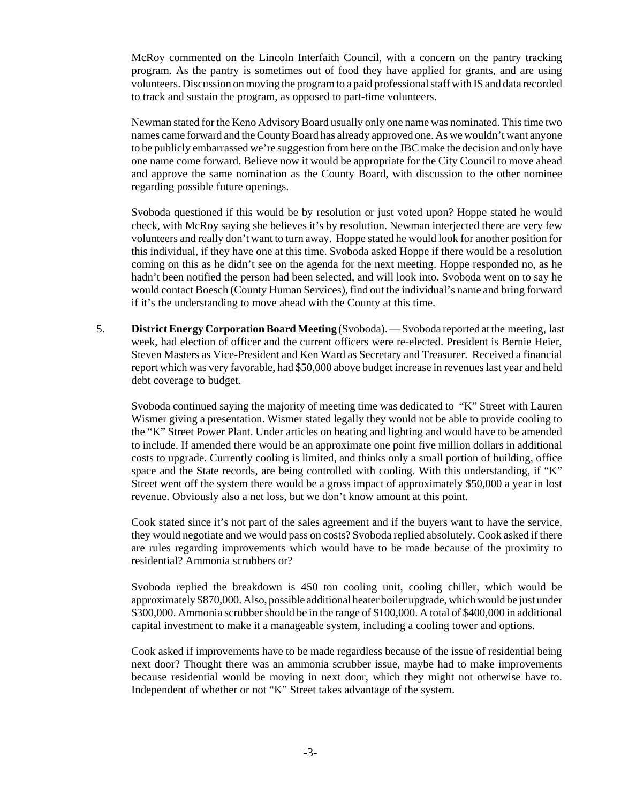McRoy commented on the Lincoln Interfaith Council, with a concern on the pantry tracking program. As the pantry is sometimes out of food they have applied for grants, and are using volunteers. Discussion on moving the program to a paid professional staff with IS and data recorded to track and sustain the program, as opposed to part-time volunteers.

Newman stated for the Keno Advisory Board usually only one name was nominated. This time two names came forward and the County Board has already approved one. As we wouldn't want anyone to be publicly embarrassed we're suggestion from here on the JBC make the decision and only have one name come forward. Believe now it would be appropriate for the City Council to move ahead and approve the same nomination as the County Board, with discussion to the other nominee regarding possible future openings.

Svoboda questioned if this would be by resolution or just voted upon? Hoppe stated he would check, with McRoy saying she believes it's by resolution. Newman interjected there are very few volunteers and really don't want to turn away. Hoppe stated he would look for another position for this individual, if they have one at this time. Svoboda asked Hoppe if there would be a resolution coming on this as he didn't see on the agenda for the next meeting. Hoppe responded no, as he hadn't been notified the person had been selected, and will look into. Svoboda went on to say he would contact Boesch (County Human Services), find out the individual's name and bring forward if it's the understanding to move ahead with the County at this time.

 5. **District Energy Corporation Board Meeting** (Svoboda). — Svoboda reported at the meeting, last week, had election of officer and the current officers were re-elected. President is Bernie Heier, Steven Masters as Vice-President and Ken Ward as Secretary and Treasurer. Received a financial report which was very favorable, had \$50,000 above budget increase in revenues last year and held debt coverage to budget.

Svoboda continued saying the majority of meeting time was dedicated to "K" Street with Lauren Wismer giving a presentation. Wismer stated legally they would not be able to provide cooling to the "K" Street Power Plant. Under articles on heating and lighting and would have to be amended to include. If amended there would be an approximate one point five million dollars in additional costs to upgrade. Currently cooling is limited, and thinks only a small portion of building, office space and the State records, are being controlled with cooling. With this understanding, if "K" Street went off the system there would be a gross impact of approximately \$50,000 a year in lost revenue. Obviously also a net loss, but we don't know amount at this point.

Cook stated since it's not part of the sales agreement and if the buyers want to have the service, they would negotiate and we would pass on costs? Svoboda replied absolutely. Cook asked if there are rules regarding improvements which would have to be made because of the proximity to residential? Ammonia scrubbers or?

Svoboda replied the breakdown is 450 ton cooling unit, cooling chiller, which would be approximately \$870,000. Also, possible additional heater boiler upgrade, which would be just under \$300,000. Ammonia scrubber should be in the range of \$100,000. A total of \$400,000 in additional capital investment to make it a manageable system, including a cooling tower and options.

Cook asked if improvements have to be made regardless because of the issue of residential being next door? Thought there was an ammonia scrubber issue, maybe had to make improvements because residential would be moving in next door, which they might not otherwise have to. Independent of whether or not "K" Street takes advantage of the system.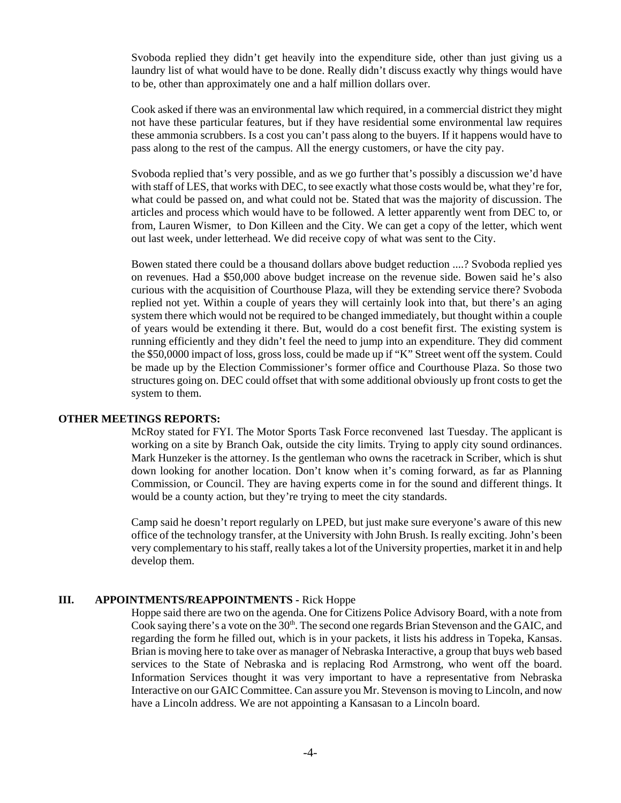Svoboda replied they didn't get heavily into the expenditure side, other than just giving us a laundry list of what would have to be done. Really didn't discuss exactly why things would have to be, other than approximately one and a half million dollars over.

Cook asked if there was an environmental law which required, in a commercial district they might not have these particular features, but if they have residential some environmental law requires these ammonia scrubbers. Is a cost you can't pass along to the buyers. If it happens would have to pass along to the rest of the campus. All the energy customers, or have the city pay.

Svoboda replied that's very possible, and as we go further that's possibly a discussion we'd have with staff of LES, that works with DEC, to see exactly what those costs would be, what they're for, what could be passed on, and what could not be. Stated that was the majority of discussion. The articles and process which would have to be followed. A letter apparently went from DEC to, or from, Lauren Wismer, to Don Killeen and the City. We can get a copy of the letter, which went out last week, under letterhead. We did receive copy of what was sent to the City.

Bowen stated there could be a thousand dollars above budget reduction ....? Svoboda replied yes on revenues. Had a \$50,000 above budget increase on the revenue side. Bowen said he's also curious with the acquisition of Courthouse Plaza, will they be extending service there? Svoboda replied not yet. Within a couple of years they will certainly look into that, but there's an aging system there which would not be required to be changed immediately, but thought within a couple of years would be extending it there. But, would do a cost benefit first. The existing system is running efficiently and they didn't feel the need to jump into an expenditure. They did comment the \$50,0000 impact of loss, gross loss, could be made up if "K" Street went off the system. Could be made up by the Election Commissioner's former office and Courthouse Plaza. So those two structures going on. DEC could offset that with some additional obviously up front costs to get the system to them.

#### **OTHER MEETINGS REPORTS:**

McRoy stated for FYI. The Motor Sports Task Force reconvened last Tuesday. The applicant is working on a site by Branch Oak, outside the city limits. Trying to apply city sound ordinances. Mark Hunzeker is the attorney. Is the gentleman who owns the racetrack in Scriber, which is shut down looking for another location. Don't know when it's coming forward, as far as Planning Commission, or Council. They are having experts come in for the sound and different things. It would be a county action, but they're trying to meet the city standards.

Camp said he doesn't report regularly on LPED, but just make sure everyone's aware of this new office of the technology transfer, at the University with John Brush. Is really exciting. John's been very complementary to his staff, really takes a lot of the University properties, market it in and help develop them.

#### **III. APPOINTMENTS/REAPPOINTMENTS -** Rick Hoppe

Hoppe said there are two on the agenda. One for Citizens Police Advisory Board, with a note from Cook saying there's a vote on the 30<sup>th</sup>. The second one regards Brian Stevenson and the GAIC, and regarding the form he filled out, which is in your packets, it lists his address in Topeka, Kansas. Brian is moving here to take over as manager of Nebraska Interactive, a group that buys web based services to the State of Nebraska and is replacing Rod Armstrong, who went off the board. Information Services thought it was very important to have a representative from Nebraska Interactive on our GAIC Committee. Can assure you Mr. Stevenson is moving to Lincoln, and now have a Lincoln address. We are not appointing a Kansasan to a Lincoln board.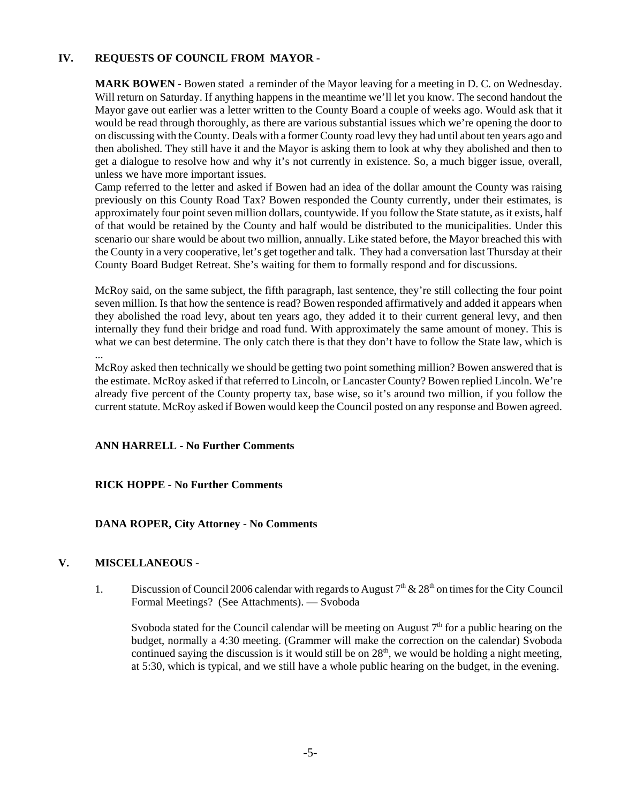## **IV. REQUESTS OF COUNCIL FROM MAYOR -**

**MARK BOWEN -** Bowen stated a reminder of the Mayor leaving for a meeting in D. C. on Wednesday. Will return on Saturday. If anything happens in the meantime we'll let you know. The second handout the Mayor gave out earlier was a letter written to the County Board a couple of weeks ago. Would ask that it would be read through thoroughly, as there are various substantial issues which we're opening the door to on discussing with the County. Deals with a former County road levy they had until about ten years ago and then abolished. They still have it and the Mayor is asking them to look at why they abolished and then to get a dialogue to resolve how and why it's not currently in existence. So, a much bigger issue, overall, unless we have more important issues.

Camp referred to the letter and asked if Bowen had an idea of the dollar amount the County was raising previously on this County Road Tax? Bowen responded the County currently, under their estimates, is approximately four point seven million dollars, countywide. If you follow the State statute, as it exists, half of that would be retained by the County and half would be distributed to the municipalities. Under this scenario our share would be about two million, annually. Like stated before, the Mayor breached this with the County in a very cooperative, let's get together and talk. They had a conversation last Thursday at their County Board Budget Retreat. She's waiting for them to formally respond and for discussions.

McRoy said, on the same subject, the fifth paragraph, last sentence, they're still collecting the four point seven million. Is that how the sentence is read? Bowen responded affirmatively and added it appears when they abolished the road levy, about ten years ago, they added it to their current general levy, and then internally they fund their bridge and road fund. With approximately the same amount of money. This is what we can best determine. The only catch there is that they don't have to follow the State law, which is ...

McRoy asked then technically we should be getting two point something million? Bowen answered that is the estimate. McRoy asked if that referred to Lincoln, or Lancaster County? Bowen replied Lincoln. We're already five percent of the County property tax, base wise, so it's around two million, if you follow the current statute. McRoy asked if Bowen would keep the Council posted on any response and Bowen agreed.

#### **ANN HARRELL - No Further Comments**

#### **RICK HOPPE - No Further Comments**

#### **DANA ROPER, City Attorney - No Comments**

#### **V. MISCELLANEOUS -**

1. Discussion of Council 2006 calendar with regards to August  $7<sup>th</sup>$  & 28<sup>th</sup> on times for the City Council Formal Meetings? (See Attachments). — Svoboda

Svoboda stated for the Council calendar will be meeting on August  $7<sup>th</sup>$  for a public hearing on the budget, normally a 4:30 meeting. (Grammer will make the correction on the calendar) Svoboda continued saying the discussion is it would still be on  $28<sup>th</sup>$ , we would be holding a night meeting, at 5:30, which is typical, and we still have a whole public hearing on the budget, in the evening.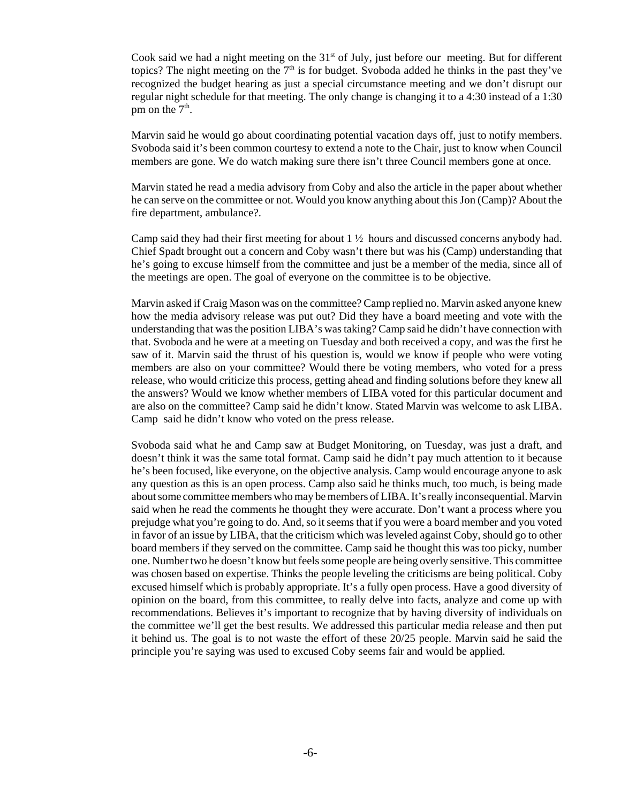Cook said we had a night meeting on the  $31<sup>st</sup>$  of July, just before our meeting. But for different topics? The night meeting on the  $7<sup>th</sup>$  is for budget. Svoboda added he thinks in the past they've recognized the budget hearing as just a special circumstance meeting and we don't disrupt our regular night schedule for that meeting. The only change is changing it to a 4:30 instead of a 1:30 pm on the  $7<sup>th</sup>$ .

 Marvin said he would go about coordinating potential vacation days off, just to notify members. Svoboda said it's been common courtesy to extend a note to the Chair, just to know when Council members are gone. We do watch making sure there isn't three Council members gone at once.

Marvin stated he read a media advisory from Coby and also the article in the paper about whether he can serve on the committee or not. Would you know anything about this Jon (Camp)? About the fire department, ambulance?.

Camp said they had their first meeting for about 1 ½ hours and discussed concerns anybody had. Chief Spadt brought out a concern and Coby wasn't there but was his (Camp) understanding that he's going to excuse himself from the committee and just be a member of the media, since all of the meetings are open. The goal of everyone on the committee is to be objective.

Marvin asked if Craig Mason was on the committee? Camp replied no. Marvin asked anyone knew how the media advisory release was put out? Did they have a board meeting and vote with the understanding that was the position LIBA's was taking? Camp said he didn't have connection with that. Svoboda and he were at a meeting on Tuesday and both received a copy, and was the first he saw of it. Marvin said the thrust of his question is, would we know if people who were voting members are also on your committee? Would there be voting members, who voted for a press release, who would criticize this process, getting ahead and finding solutions before they knew all the answers? Would we know whether members of LIBA voted for this particular document and are also on the committee? Camp said he didn't know. Stated Marvin was welcome to ask LIBA. Camp said he didn't know who voted on the press release.

Svoboda said what he and Camp saw at Budget Monitoring, on Tuesday, was just a draft, and doesn't think it was the same total format. Camp said he didn't pay much attention to it because he's been focused, like everyone, on the objective analysis. Camp would encourage anyone to ask any question as this is an open process. Camp also said he thinks much, too much, is being made about some committee members who may be members of LIBA. It's really inconsequential. Marvin said when he read the comments he thought they were accurate. Don't want a process where you prejudge what you're going to do. And, so it seems that if you were a board member and you voted in favor of an issue by LIBA, that the criticism which was leveled against Coby, should go to other board members if they served on the committee. Camp said he thought this was too picky, number one. Number two he doesn't know but feels some people are being overly sensitive. This committee was chosen based on expertise. Thinks the people leveling the criticisms are being political. Coby excused himself which is probably appropriate. It's a fully open process. Have a good diversity of opinion on the board, from this committee, to really delve into facts, analyze and come up with recommendations. Believes it's important to recognize that by having diversity of individuals on the committee we'll get the best results. We addressed this particular media release and then put it behind us. The goal is to not waste the effort of these 20/25 people. Marvin said he said the principle you're saying was used to excused Coby seems fair and would be applied.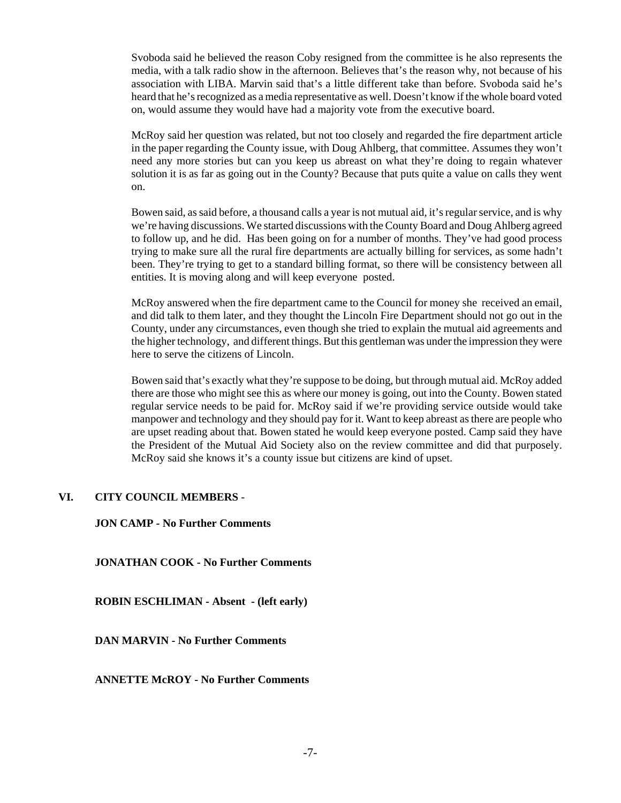Svoboda said he believed the reason Coby resigned from the committee is he also represents the media, with a talk radio show in the afternoon. Believes that's the reason why, not because of his association with LIBA. Marvin said that's a little different take than before. Svoboda said he's heard that he's recognized as a media representative as well. Doesn't know if the whole board voted on, would assume they would have had a majority vote from the executive board.

McRoy said her question was related, but not too closely and regarded the fire department article in the paper regarding the County issue, with Doug Ahlberg, that committee. Assumes they won't need any more stories but can you keep us abreast on what they're doing to regain whatever solution it is as far as going out in the County? Because that puts quite a value on calls they went on.

Bowen said, as said before, a thousand calls a year is not mutual aid, it's regular service, and is why we're having discussions. We started discussions with the County Board and Doug Ahlberg agreed to follow up, and he did. Has been going on for a number of months. They've had good process trying to make sure all the rural fire departments are actually billing for services, as some hadn't been. They're trying to get to a standard billing format, so there will be consistency between all entities. It is moving along and will keep everyone posted.

McRoy answered when the fire department came to the Council for money she received an email, and did talk to them later, and they thought the Lincoln Fire Department should not go out in the County, under any circumstances, even though she tried to explain the mutual aid agreements and the higher technology, and different things. But this gentleman was under the impression they were here to serve the citizens of Lincoln.

Bowen said that's exactly what they're suppose to be doing, but through mutual aid. McRoy added there are those who might see this as where our money is going, out into the County. Bowen stated regular service needs to be paid for. McRoy said if we're providing service outside would take manpower and technology and they should pay for it. Want to keep abreast as there are people who are upset reading about that. Bowen stated he would keep everyone posted. Camp said they have the President of the Mutual Aid Society also on the review committee and did that purposely. McRoy said she knows it's a county issue but citizens are kind of upset.

#### **VI. CITY COUNCIL MEMBERS** -

#### **JON CAMP - No Further Comments**

**JONATHAN COOK - No Further Comments**

**ROBIN ESCHLIMAN - Absent - (left early)** 

**DAN MARVIN - No Further Comments**

**ANNETTE McROY - No Further Comments**